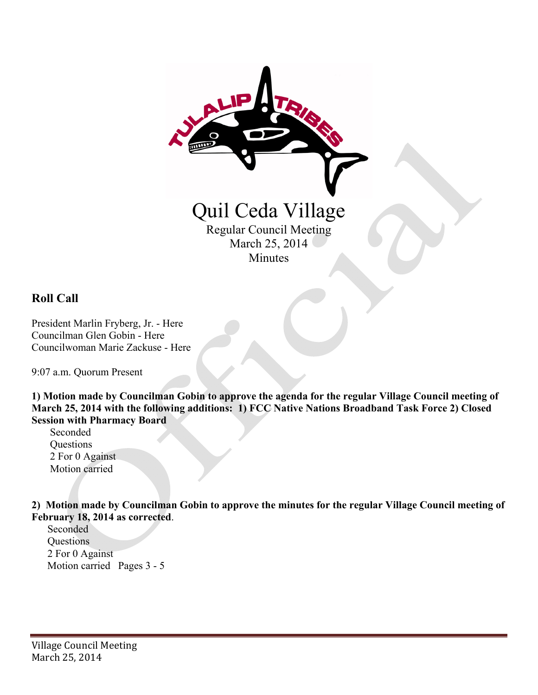

### **Roll Call**

President Marlin Fryberg, Jr. - Here Councilman Glen Gobin - Here Councilwoman Marie Zackuse - Here

9:07 a.m. Quorum Present

**1) Motion made by Councilman Gobin to approve the agenda for the regular Village Council meeting of March 25, 2014 with the following additions: 1) FCC Native Nations Broadband Task Force 2) Closed Session with Pharmacy Board** 

 Seconded **Questions**  2 For 0 Against Motion carried

**2) Motion made by Councilman Gobin to approve the minutes for the regular Village Council meeting of February 18, 2014 as corrected**.

 Seconded **Ouestions**  2 For 0 Against Motion carried Pages 3 - 5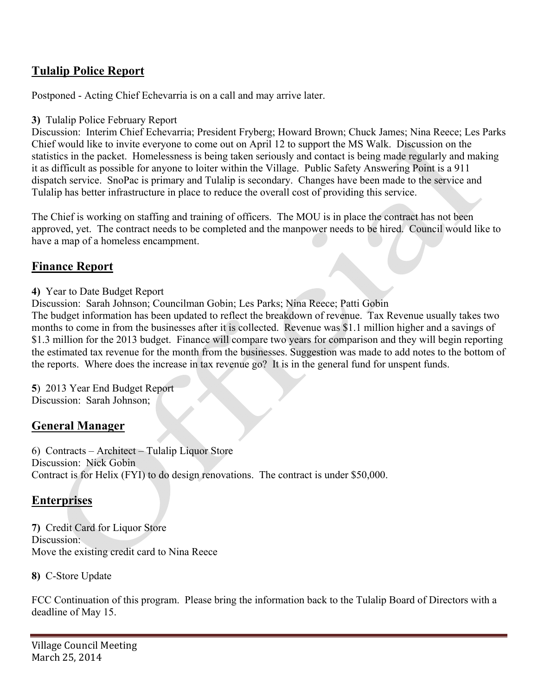# **Tulalip Police Report**

Postponed - Acting Chief Echevarria is on a call and may arrive later.

#### **3)** Tulalip Police February Report

Discussion: Interim Chief Echevarria; President Fryberg; Howard Brown; Chuck James; Nina Reece; Les Parks Chief would like to invite everyone to come out on April 12 to support the MS Walk. Discussion on the statistics in the packet. Homelessness is being taken seriously and contact is being made regularly and making it as difficult as possible for anyone to loiter within the Village. Public Safety Answering Point is a 911 dispatch service. SnoPac is primary and Tulalip is secondary. Changes have been made to the service and Tulalip has better infrastructure in place to reduce the overall cost of providing this service.

The Chief is working on staffing and training of officers. The MOU is in place the contract has not been approved, yet. The contract needs to be completed and the manpower needs to be hired. Council would like to have a map of a homeless encampment.

## **Finance Report**

#### **4)** Year to Date Budget Report

Discussion: Sarah Johnson; Councilman Gobin; Les Parks; Nina Reece; Patti Gobin The budget information has been updated to reflect the breakdown of revenue. Tax Revenue usually takes two months to come in from the businesses after it is collected. Revenue was \$1.1 million higher and a savings of \$1.3 million for the 2013 budget. Finance will compare two years for comparison and they will begin reporting the estimated tax revenue for the month from the businesses. Suggestion was made to add notes to the bottom of the reports. Where does the increase in tax revenue go? It is in the general fund for unspent funds.

**5**) 2013 Year End Budget Report Discussion: Sarah Johnson;

### **General Manager**

6) Contracts – Architect – Tulalip Liquor Store Discussion: Nick Gobin Contract is for Helix (FYI) to do design renovations. The contract is under \$50,000.

## **Enterprises**

**7)** Credit Card for Liquor Store Discussion: Move the existing credit card to Nina Reece

**8)** C-Store Update

FCC Continuation of this program. Please bring the information back to the Tulalip Board of Directors with a deadline of May 15.